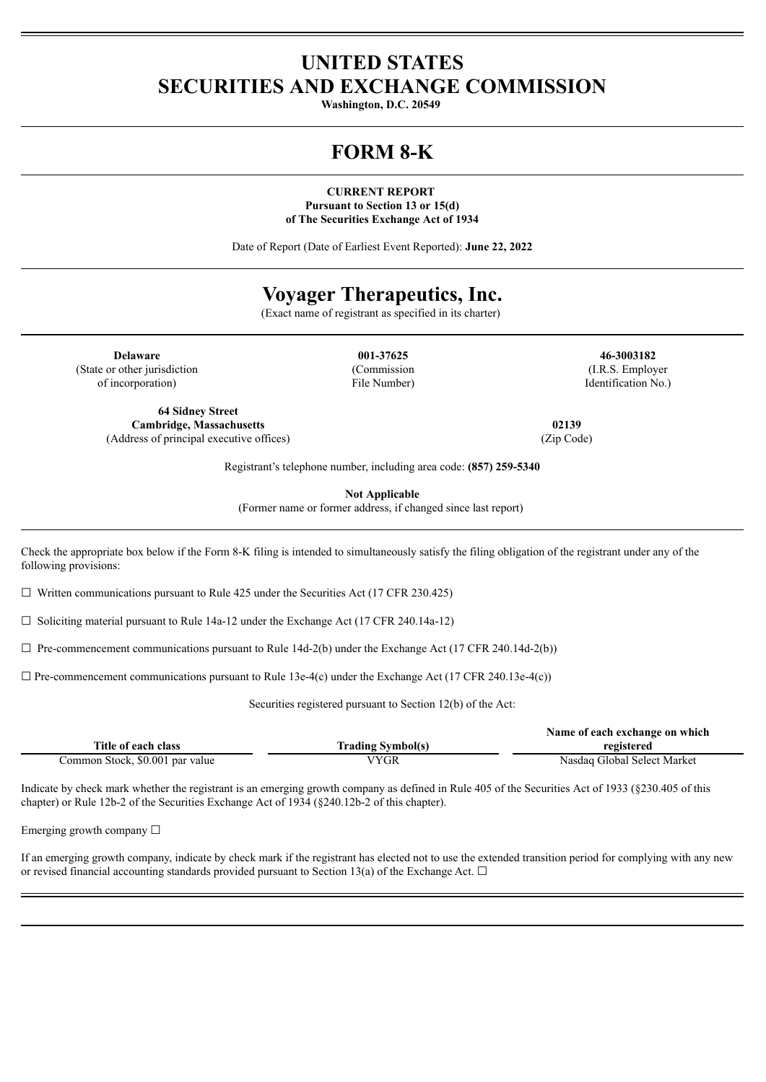# **UNITED STATES SECURITIES AND EXCHANGE COMMISSION**

**Washington, D.C. 20549**

# **FORM 8-K**

**CURRENT REPORT Pursuant to Section 13 or 15(d) of The Securities Exchange Act of 1934**

Date of Report (Date of Earliest Event Reported): **June 22, 2022**

# **Voyager Therapeutics, Inc.**

(Exact name of registrant as specified in its charter)

**Delaware 001-37625 46-3003182** (State or other jurisdiction of incorporation)

**64 Sidney Street Cambridge, Massachusetts 02139** (Address of principal executive offices) (Zip Code)

(Commission File Number)

(I.R.S. Employer Identification No.)

Registrant's telephone number, including area code: **(857) 259-5340**

**Not Applicable**

(Former name or former address, if changed since last report)

Check the appropriate box below if the Form 8-K filing is intended to simultaneously satisfy the filing obligation of the registrant under any of the following provisions:

 $\Box$  Written communications pursuant to Rule 425 under the Securities Act (17 CFR 230.425)

☐ Soliciting material pursuant to Rule 14a-12 under the Exchange Act (17 CFR 240.14a-12)

 $\Box$  Pre-commencement communications pursuant to Rule 14d-2(b) under the Exchange Act (17 CFR 240.14d-2(b))

 $\Box$  Pre-commencement communications pursuant to Rule 13e-4(c) under the Exchange Act (17 CFR 240.13e-4(c))

Securities registered pursuant to Section 12(b) of the Act:

|                                 |                          | Name of each exchange on which |
|---------------------------------|--------------------------|--------------------------------|
| Title of each class             | <b>Trading Symbol(s)</b> | registered                     |
| Common Stock, \$0.001 par value | VYGR                     | Nasdaq Global Select Market    |

Indicate by check mark whether the registrant is an emerging growth company as defined in Rule 405 of the Securities Act of 1933 (§230.405 of this chapter) or Rule 12b-2 of the Securities Exchange Act of 1934 (§240.12b-2 of this chapter).

Emerging growth company  $\Box$ 

If an emerging growth company, indicate by check mark if the registrant has elected not to use the extended transition period for complying with any new or revised financial accounting standards provided pursuant to Section 13(a) of the Exchange Act.  $\Box$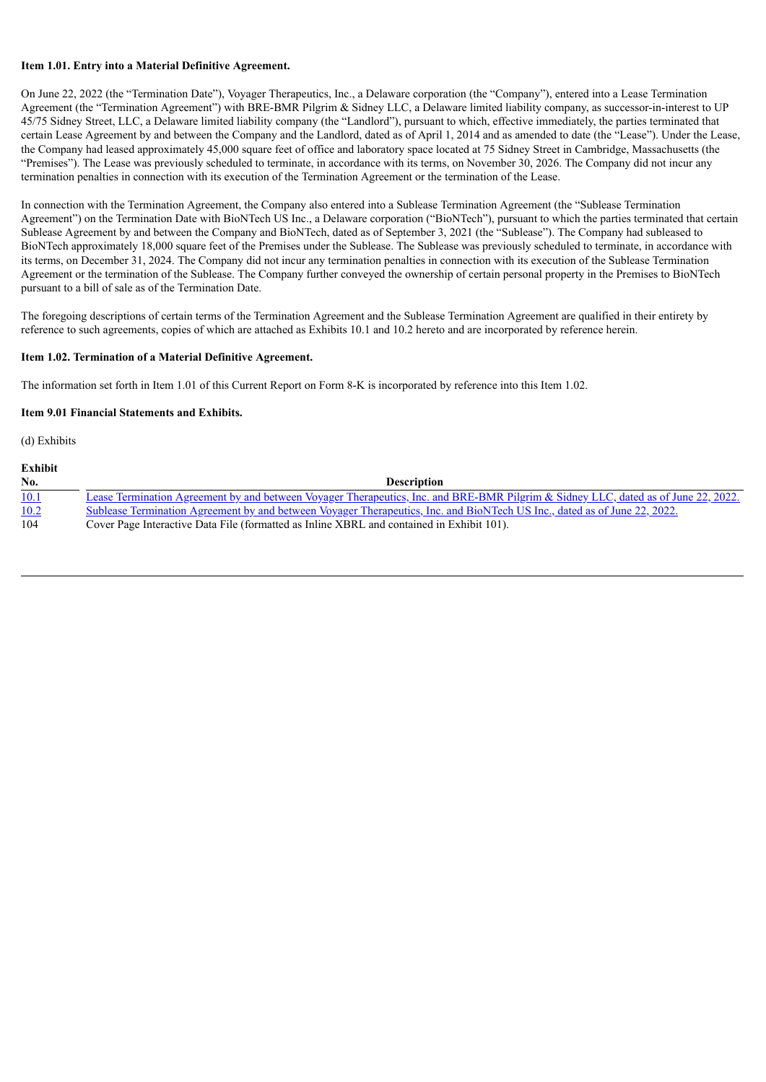### **Item 1.01. Entry into a Material Definitive Agreement.**

On June 22, 2022 (the "Termination Date"), Voyager Therapeutics, Inc., a Delaware corporation (the "Company"), entered into a Lease Termination Agreement (the "Termination Agreement") with BRE-BMR Pilgrim & Sidney LLC, a Delaware limited liability company, as successor-in-interest to UP 45/75 Sidney Street, LLC, a Delaware limited liability company (the "Landlord"), pursuant to which, effective immediately, the parties terminated that certain Lease Agreement by and between the Company and the Landlord, dated as of April 1, 2014 and as amended to date (the "Lease"). Under the Lease, the Company had leased approximately 45,000 square feet of office and laboratory space located at 75 Sidney Street in Cambridge, Massachusetts (the "Premises"). The Lease was previously scheduled to terminate, in accordance with its terms, on November 30, 2026. The Company did not incur any termination penalties in connection with its execution of the Termination Agreement or the termination of the Lease.

In connection with the Termination Agreement, the Company also entered into a Sublease Termination Agreement (the "Sublease Termination Agreement") on the Termination Date with BioNTech US Inc., a Delaware corporation ("BioNTech"), pursuant to which the parties terminated that certain Sublease Agreement by and between the Company and BioNTech, dated as of September 3, 2021 (the "Sublease"). The Company had subleased to BioNTech approximately 18,000 square feet of the Premises under the Sublease. The Sublease was previously scheduled to terminate, in accordance with its terms, on December 31, 2024. The Company did not incur any termination penalties in connection with its execution of the Sublease Termination Agreement or the termination of the Sublease. The Company further conveyed the ownership of certain personal property in the Premises to BioNTech pursuant to a bill of sale as of the Termination Date.

The foregoing descriptions of certain terms of the Termination Agreement and the Sublease Termination Agreement are qualified in their entirety by reference to such agreements, copies of which are attached as Exhibits 10.1 and 10.2 hereto and are incorporated by reference herein.

## **Item 1.02. Termination of a Material Definitive Agreement.**

The information set forth in Item 1.01 of this Current Report on Form 8-K is incorporated by reference into this Item 1.02.

### **Item 9.01 Financial Statements and Exhibits.**

(d) Exhibits

#### **Exhibit**

| No.  | <b>Description</b>                                                                                                                 |
|------|------------------------------------------------------------------------------------------------------------------------------------|
| 10.1 | Lease Termination Agreement by and between Voyager Therapeutics, Inc. and BRE-BMR Pilgrim & Sidney LLC, dated as of June 22, 2022. |
| 10.2 | Sublease Termination Agreement by and between Voyager Therapeutics, Inc. and BioNTech US Inc., dated as of June 22, 2022.          |
| 104  | Cover Page Interactive Data File (formatted as Inline XBRL and contained in Exhibit 101).                                          |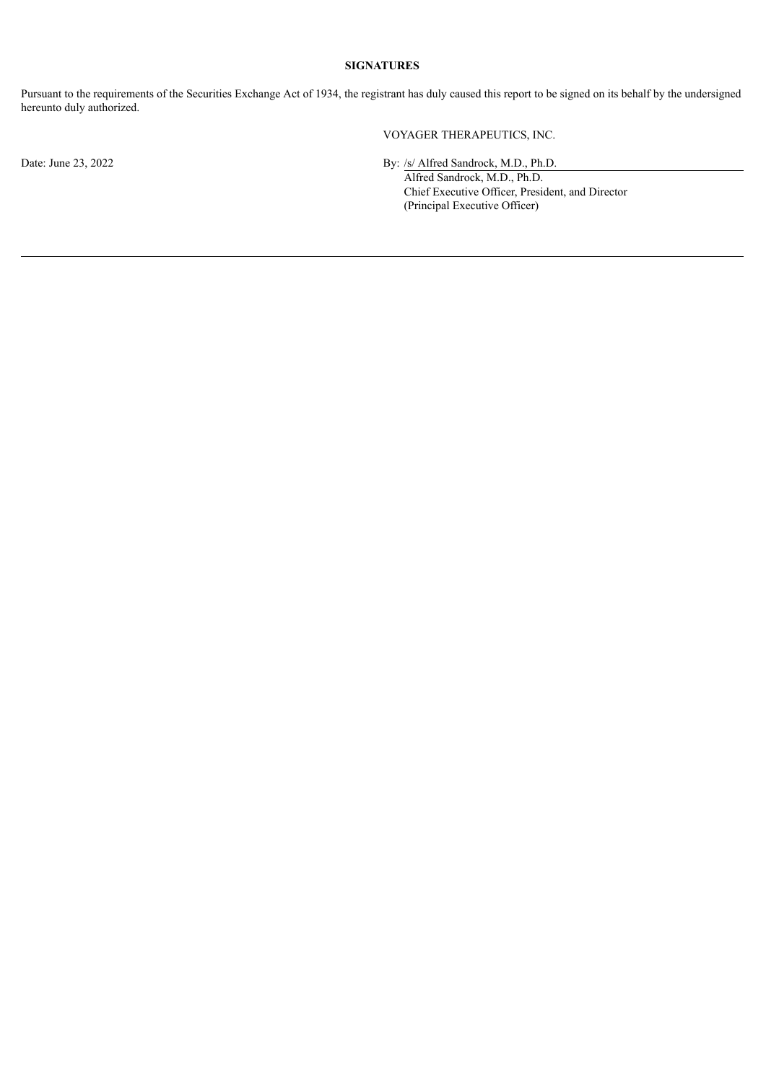## **SIGNATURES**

Pursuant to the requirements of the Securities Exchange Act of 1934, the registrant has duly caused this report to be signed on its behalf by the undersigned hereunto duly authorized.

VOYAGER THERAPEUTICS, INC.

Date: June 23, 2022 By: /s/ Alfred Sandrock, M.D., Ph.D.

Alfred Sandrock, M.D., Ph.D. Chief Executive Officer, President, and Director (Principal Executive Officer)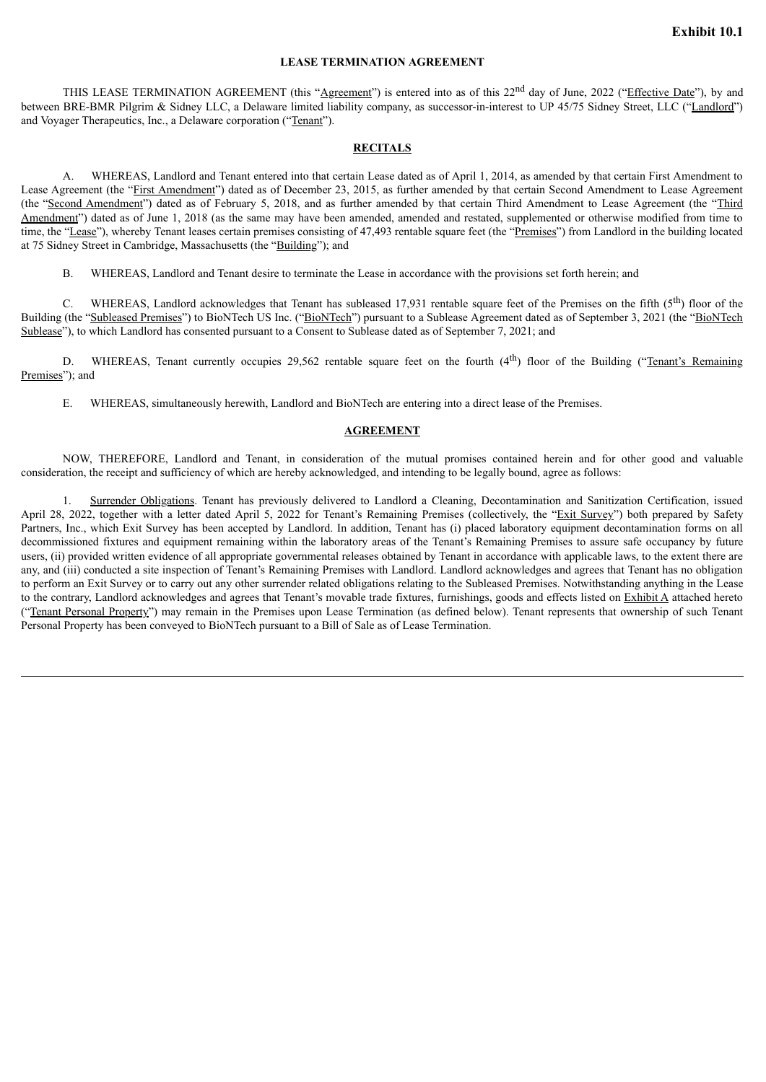## **LEASE TERMINATION AGREEMENT**

<span id="page-3-0"></span>THIS LEASE TERMINATION AGREEMENT (this "Agreement") is entered into as of this 22<sup>nd</sup> day of June, 2022 ("Effective Date"), by and between BRE-BMR Pilgrim & Sidney LLC, a Delaware limited liability company, as successor-in-interest to UP 45/75 Sidney Street, LLC ("Landlord") and Voyager Therapeutics, Inc., a Delaware corporation ("Tenant").

## **RECITALS**

A. WHEREAS, Landlord and Tenant entered into that certain Lease dated as of April 1, 2014, as amended by that certain First Amendment to Lease Agreement (the "First Amendment") dated as of December 23, 2015, as further amended by that certain Second Amendment to Lease Agreement (the "Second Amendment") dated as of February 5, 2018, and as further amended by that certain Third Amendment to Lease Agreement (the "Third Amendment") dated as of June 1, 2018 (as the same may have been amended, amended and restated, supplemented or otherwise modified from time to time, the "Lease"), whereby Tenant leases certain premises consisting of 47,493 rentable square feet (the "Premises") from Landlord in the building located at 75 Sidney Street in Cambridge, Massachusetts (the "Building"); and

B. WHEREAS, Landlord and Tenant desire to terminate the Lease in accordance with the provisions set forth herein; and

C. WHEREAS, Landlord acknowledges that Tenant has subleased 17,931 rentable square feet of the Premises on the fifth  $(5<sup>th</sup>)$  floor of the Building (the "Subleased Premises") to BioNTech US Inc. ("BioNTech") pursuant to a Sublease Agreement dated as of September 3, 2021 (the "BioNTech") Sublease"), to which Landlord has consented pursuant to a Consent to Sublease dated as of September 7, 2021; and

D. WHEREAS, Tenant currently occupies 29,562 rentable square feet on the fourth (4<sup>th</sup>) floor of the Building ("Tenant's Remaining Premises"); and

E. WHEREAS, simultaneously herewith, Landlord and BioNTech are entering into a direct lease of the Premises.

#### **AGREEMENT**

NOW, THEREFORE, Landlord and Tenant, in consideration of the mutual promises contained herein and for other good and valuable consideration, the receipt and sufficiency of which are hereby acknowledged, and intending to be legally bound, agree as follows:

1. Surrender Obligations. Tenant has previously delivered to Landlord a Cleaning, Decontamination and Sanitization Certification, issued April 28, 2022, together with a letter dated April 5, 2022 for Tenant's Remaining Premises (collectively, the "Exit Survey") both prepared by Safety Partners, Inc., which Exit Survey has been accepted by Landlord. In addition, Tenant has (i) placed laboratory equipment decontamination forms on all decommissioned fixtures and equipment remaining within the laboratory areas of the Tenant's Remaining Premises to assure safe occupancy by future users, (ii) provided written evidence of all appropriate governmental releases obtained by Tenant in accordance with applicable laws, to the extent there are any, and (iii) conducted a site inspection of Tenant's Remaining Premises with Landlord. Landlord acknowledges and agrees that Tenant has no obligation to perform an Exit Survey or to carry out any other surrender related obligations relating to the Subleased Premises. Notwithstanding anything in the Lease to the contrary, Landlord acknowledges and agrees that Tenant's movable trade fixtures, furnishings, goods and effects listed on Exhibit A attached hereto ("Tenant Personal Property") may remain in the Premises upon Lease Termination (as defined below). Tenant represents that ownership of such Tenant Personal Property has been conveyed to BioNTech pursuant to a Bill of Sale as of Lease Termination.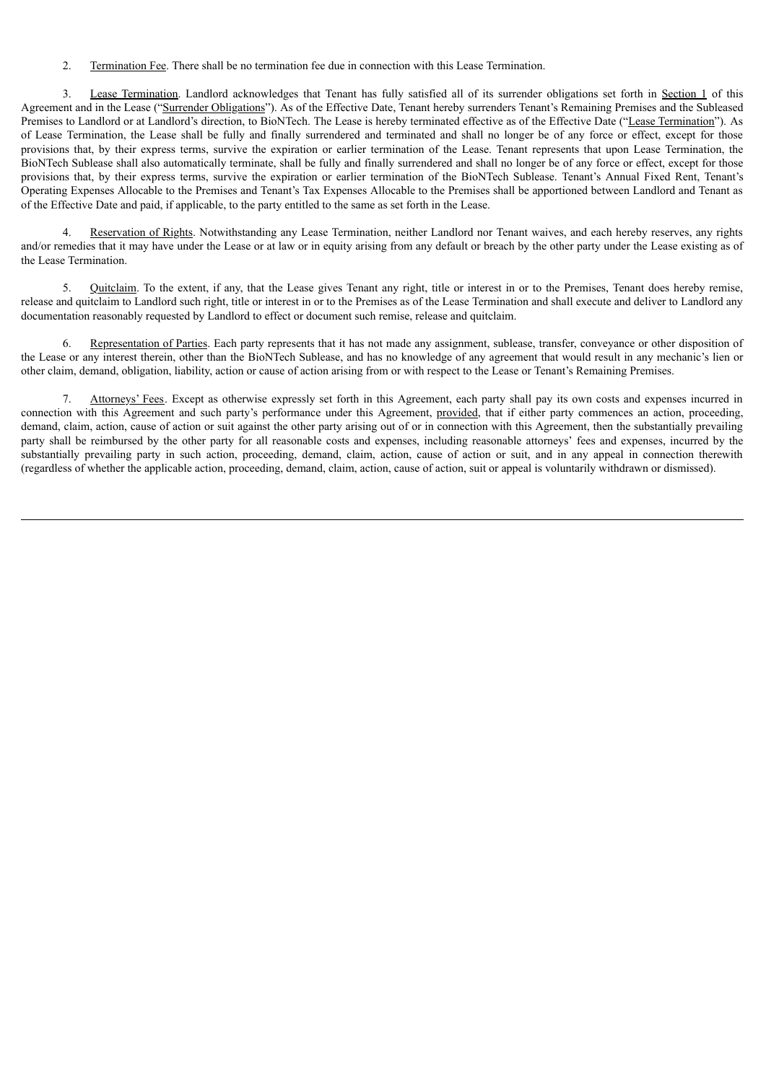2. Termination Fee. There shall be no termination fee due in connection with this Lease Termination.

3. Lease Termination. Landlord acknowledges that Tenant has fully satisfied all of its surrender obligations set forth in Section 1 of this Agreement and in the Lease ("Surrender Obligations"). As of the Effective Date, Tenant hereby surrenders Tenant's Remaining Premises and the Subleased Premises to Landlord or at Landlord's direction, to BioNTech. The Lease is hereby terminated effective as of the Effective Date ("Lease Termination"). As of Lease Termination, the Lease shall be fully and finally surrendered and terminated and shall no longer be of any force or effect, except for those provisions that, by their express terms, survive the expiration or earlier termination of the Lease. Tenant represents that upon Lease Termination, the BioNTech Sublease shall also automatically terminate, shall be fully and finally surrendered and shall no longer be of any force or effect, except for those provisions that, by their express terms, survive the expiration or earlier termination of the BioNTech Sublease. Tenant's Annual Fixed Rent, Tenant's Operating Expenses Allocable to the Premises and Tenant's Tax Expenses Allocable to the Premises shall be apportioned between Landlord and Tenant as of the Effective Date and paid, if applicable, to the party entitled to the same as set forth in the Lease.

4. Reservation of Rights. Notwithstanding any Lease Termination, neither Landlord nor Tenant waives, and each hereby reserves, any rights and/or remedies that it may have under the Lease or at law or in equity arising from any default or breach by the other party under the Lease existing as of the Lease Termination.

Quitclaim. To the extent, if any, that the Lease gives Tenant any right, title or interest in or to the Premises, Tenant does hereby remise, release and quitclaim to Landlord such right, title or interest in or to the Premises as of the Lease Termination and shall execute and deliver to Landlord any documentation reasonably requested by Landlord to effect or document such remise, release and quitclaim.

6. Representation of Parties. Each party represents that it has not made any assignment, sublease, transfer, conveyance or other disposition of the Lease or any interest therein, other than the BioNTech Sublease, and has no knowledge of any agreement that would result in any mechanic's lien or other claim, demand, obligation, liability, action or cause of action arising from or with respect to the Lease or Tenant's Remaining Premises.

7. Attorneys' Fees. Except as otherwise expressly set forth in this Agreement, each party shall pay its own costs and expenses incurred in connection with this Agreement and such party's performance under this Agreement, provided, that if either party commences an action, proceeding, demand, claim, action, cause of action or suit against the other party arising out of or in connection with this Agreement, then the substantially prevailing party shall be reimbursed by the other party for all reasonable costs and expenses, including reasonable attorneys' fees and expenses, incurred by the substantially prevailing party in such action, proceeding, demand, claim, action, cause of action or suit, and in any appeal in connection therewith (regardless of whether the applicable action, proceeding, demand, claim, action, cause of action, suit or appeal is voluntarily withdrawn or dismissed).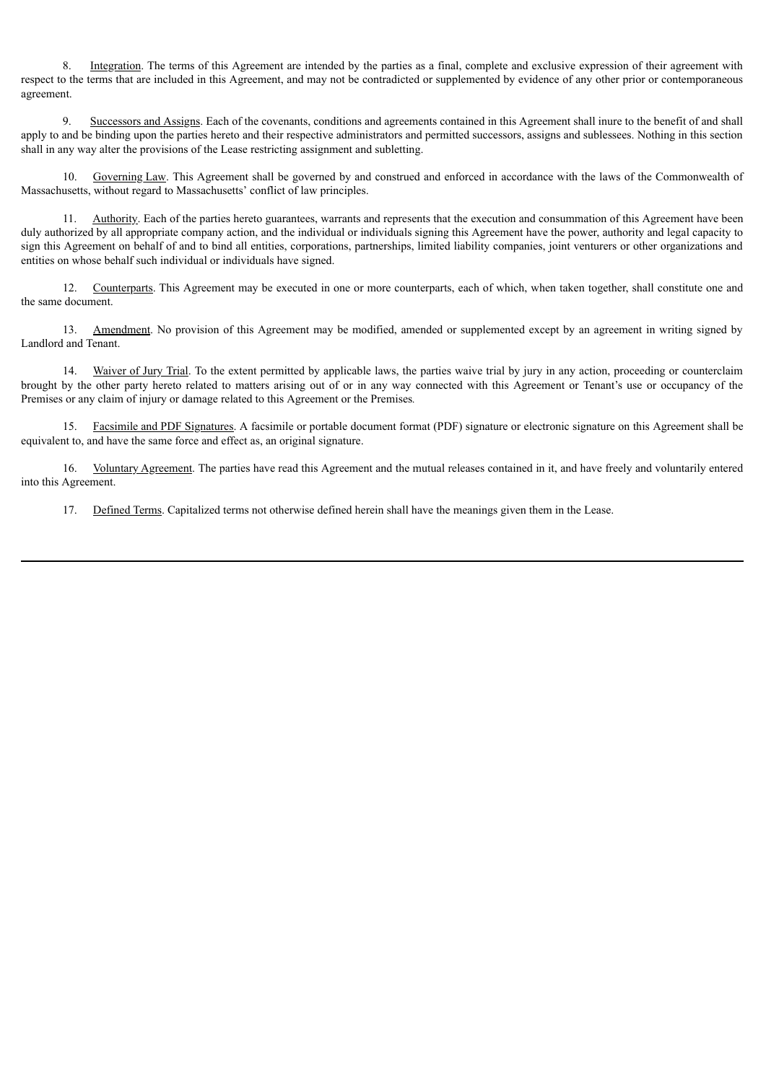8. Integration. The terms of this Agreement are intended by the parties as a final, complete and exclusive expression of their agreement with respect to the terms that are included in this Agreement, and may not be contradicted or supplemented by evidence of any other prior or contemporaneous agreement.

9. Successors and Assigns. Each of the covenants, conditions and agreements contained in this Agreement shall inure to the benefit of and shall apply to and be binding upon the parties hereto and their respective administrators and permitted successors, assigns and sublessees. Nothing in this section shall in any way alter the provisions of the Lease restricting assignment and subletting.

10. Governing Law. This Agreement shall be governed by and construed and enforced in accordance with the laws of the Commonwealth of Massachusetts, without regard to Massachusetts' conflict of law principles.

11. Authority. Each of the parties hereto guarantees, warrants and represents that the execution and consummation of this Agreement have been duly authorized by all appropriate company action, and the individual or individuals signing this Agreement have the power, authority and legal capacity to sign this Agreement on behalf of and to bind all entities, corporations, partnerships, limited liability companies, joint venturers or other organizations and entities on whose behalf such individual or individuals have signed.

12. Counterparts. This Agreement may be executed in one or more counterparts, each of which, when taken together, shall constitute one and the same document.

13. Amendment. No provision of this Agreement may be modified, amended or supplemented except by an agreement in writing signed by Landlord and Tenant.

14. Waiver of Jury Trial. To the extent permitted by applicable laws, the parties waive trial by jury in any action, proceeding or counterclaim brought by the other party hereto related to matters arising out of or in any way connected with this Agreement or Tenant's use or occupancy of the Premises or any claim of injury or damage related to this Agreement or the Premises*.*

15. Facsimile and PDF Signatures. A facsimile or portable document format (PDF) signature or electronic signature on this Agreement shall be equivalent to, and have the same force and effect as, an original signature.

16. Voluntary Agreement. The parties have read this Agreement and the mutual releases contained in it, and have freely and voluntarily entered into this Agreement.

17. Defined Terms. Capitalized terms not otherwise defined herein shall have the meanings given them in the Lease.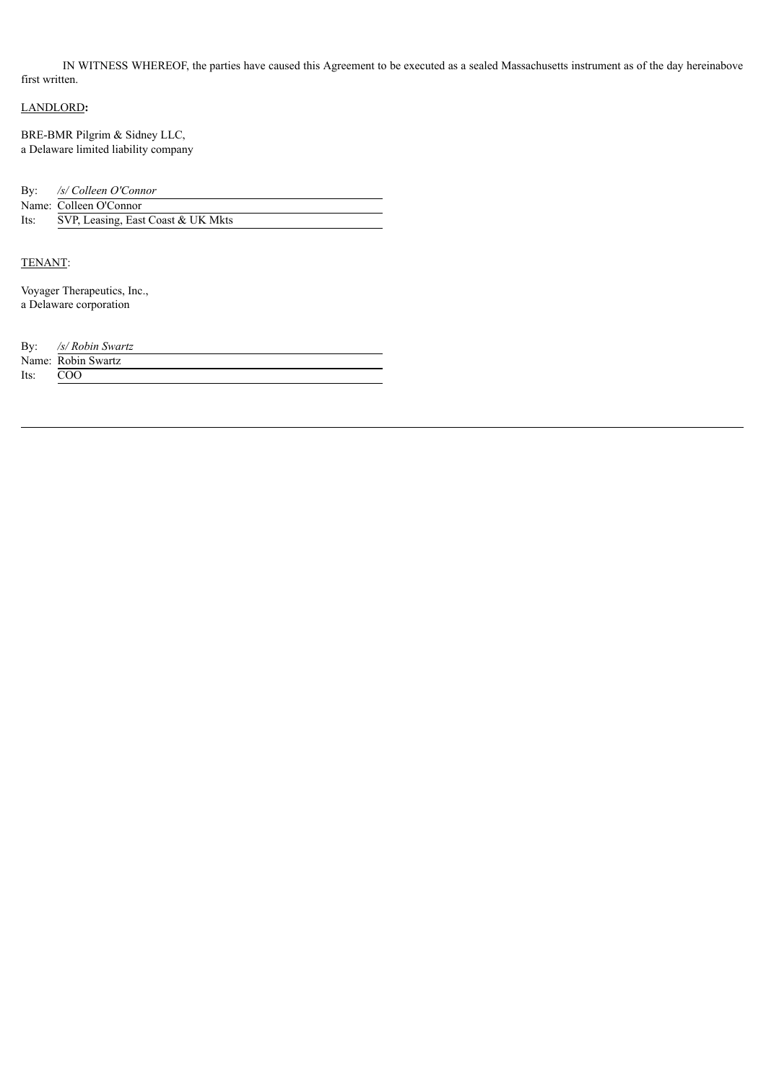IN WITNESS WHEREOF, the parties have caused this Agreement to be executed as a sealed Massachusetts instrument as of the day hereinabove first written.

## LANDLORD**:**

BRE-BMR Pilgrim & Sidney LLC, a Delaware limited liability company

By: */s/ Colleen O'Connor*

|      | Name: Colleen O'Connor             |
|------|------------------------------------|
| Its: | SVP, Leasing, East Coast & UK Mkts |

## TENANT:

Voyager Therapeutics, Inc., a Delaware corporation

| By:  | /s/ Robin Swartz   |
|------|--------------------|
|      | Name: Robin Swartz |
| Its: | COO                |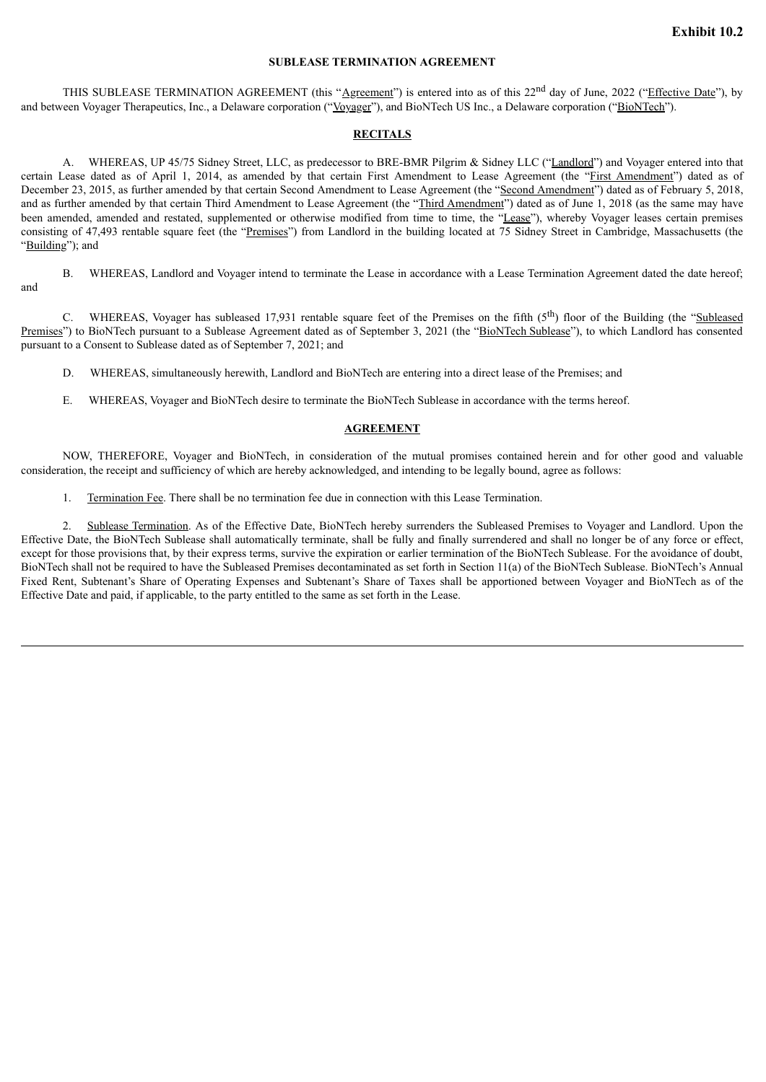## **SUBLEASE TERMINATION AGREEMENT**

<span id="page-7-0"></span>THIS SUBLEASE TERMINATION AGREEMENT (this "Agreement") is entered into as of this 22<sup>nd</sup> day of June, 2022 ("Effective Date"), by and between Voyager Therapeutics, Inc., a Delaware corporation ("Voyager"), and BioNTech US Inc., a Delaware corporation ("BioNTech").

## **RECITALS**

A. WHEREAS, UP 45/75 Sidney Street, LLC, as predecessor to BRE-BMR Pilgrim & Sidney LLC ("Landlord") and Voyager entered into that certain Lease dated as of April 1, 2014, as amended by that certain First Amendment to Lease Agreement (the "First Amendment") dated as of December 23, 2015, as further amended by that certain Second Amendment to Lease Agreement (the "Second Amendment") dated as of February 5, 2018, and as further amended by that certain Third Amendment to Lease Agreement (the "Third Amendment") dated as of June 1, 2018 (as the same may have been amended, amended and restated, supplemented or otherwise modified from time to time, the "Lease"), whereby Voyager leases certain premises consisting of 47,493 rentable square feet (the "Premises") from Landlord in the building located at 75 Sidney Street in Cambridge, Massachusetts (the "Building"); and

B. WHEREAS, Landlord and Voyager intend to terminate the Lease in accordance with a Lease Termination Agreement dated the date hereof; and

C. WHEREAS, Voyager has subleased 17,931 rentable square feet of the Premises on the fifth  $(5<sup>th</sup>)$  floor of the Building (the "Subleased Premises") to BioNTech pursuant to a Sublease Agreement dated as of September 3, 2021 (the "BioNTech Sublease"), to which Landlord has consented pursuant to a Consent to Sublease dated as of September 7, 2021; and

- D. WHEREAS, simultaneously herewith, Landlord and BioNTech are entering into a direct lease of the Premises; and
- E. WHEREAS, Voyager and BioNTech desire to terminate the BioNTech Sublease in accordance with the terms hereof.

### **AGREEMENT**

NOW, THEREFORE, Voyager and BioNTech, in consideration of the mutual promises contained herein and for other good and valuable consideration, the receipt and sufficiency of which are hereby acknowledged, and intending to be legally bound, agree as follows:

1. Termination Fee. There shall be no termination fee due in connection with this Lease Termination.

2. Sublease Termination. As of the Effective Date, BioNTech hereby surrenders the Subleased Premises to Voyager and Landlord. Upon the Effective Date, the BioNTech Sublease shall automatically terminate, shall be fully and finally surrendered and shall no longer be of any force or effect, except for those provisions that, by their express terms, survive the expiration or earlier termination of the BioNTech Sublease. For the avoidance of doubt, BioNTech shall not be required to have the Subleased Premises decontaminated as set forth in Section 11(a) of the BioNTech Sublease. BioNTech's Annual Fixed Rent, Subtenant's Share of Operating Expenses and Subtenant's Share of Taxes shall be apportioned between Voyager and BioNTech as of the Effective Date and paid, if applicable, to the party entitled to the same as set forth in the Lease.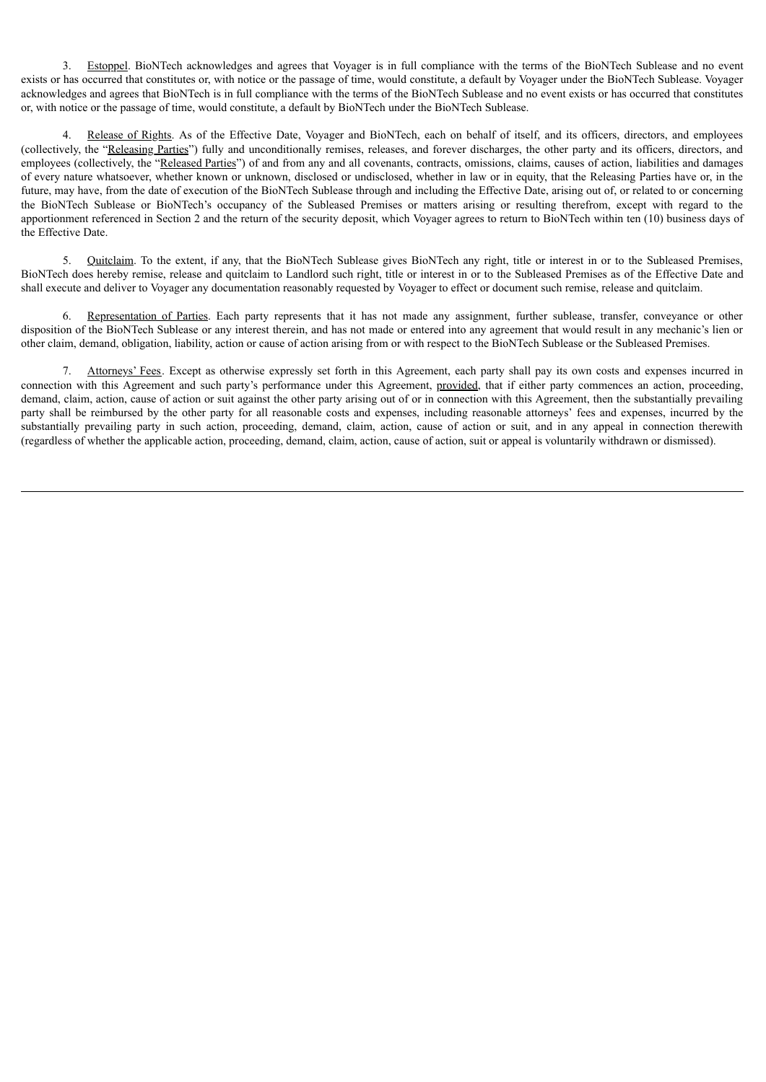3. Estoppel. BioNTech acknowledges and agrees that Voyager is in full compliance with the terms of the BioNTech Sublease and no event exists or has occurred that constitutes or, with notice or the passage of time, would constitute, a default by Voyager under the BioNTech Sublease. Voyager acknowledges and agrees that BioNTech is in full compliance with the terms of the BioNTech Sublease and no event exists or has occurred that constitutes or, with notice or the passage of time, would constitute, a default by BioNTech under the BioNTech Sublease.

4. Release of Rights. As of the Effective Date, Voyager and BioNTech, each on behalf of itself, and its officers, directors, and employees (collectively, the "Releasing Parties") fully and unconditionally remises, releases, and forever discharges, the other party and its officers, directors, and employees (collectively, the "Released Parties") of and from any and all covenants, contracts, omissions, claims, causes of action, liabilities and damages of every nature whatsoever, whether known or unknown, disclosed or undisclosed, whether in law or in equity, that the Releasing Parties have or, in the future, may have, from the date of execution of the BioNTech Sublease through and including the Effective Date, arising out of, or related to or concerning the BioNTech Sublease or BioNTech's occupancy of the Subleased Premises or matters arising or resulting therefrom, except with regard to the apportionment referenced in Section 2 and the return of the security deposit, which Voyager agrees to return to BioNTech within ten (10) business days of the Effective Date.

5. Quitclaim. To the extent, if any, that the BioNTech Sublease gives BioNTech any right, title or interest in or to the Subleased Premises, BioNTech does hereby remise, release and quitclaim to Landlord such right, title or interest in or to the Subleased Premises as of the Effective Date and shall execute and deliver to Voyager any documentation reasonably requested by Voyager to effect or document such remise, release and quitclaim.

6. Representation of Parties. Each party represents that it has not made any assignment, further sublease, transfer, conveyance or other disposition of the BioNTech Sublease or any interest therein, and has not made or entered into any agreement that would result in any mechanic's lien or other claim, demand, obligation, liability, action or cause of action arising from or with respect to the BioNTech Sublease or the Subleased Premises.

7. Attorneys' Fees. Except as otherwise expressly set forth in this Agreement, each party shall pay its own costs and expenses incurred in connection with this Agreement and such party's performance under this Agreement, provided, that if either party commences an action, proceeding, demand, claim, action, cause of action or suit against the other party arising out of or in connection with this Agreement, then the substantially prevailing party shall be reimbursed by the other party for all reasonable costs and expenses, including reasonable attorneys' fees and expenses, incurred by the substantially prevailing party in such action, proceeding, demand, claim, action, cause of action or suit, and in any appeal in connection therewith (regardless of whether the applicable action, proceeding, demand, claim, action, cause of action, suit or appeal is voluntarily withdrawn or dismissed).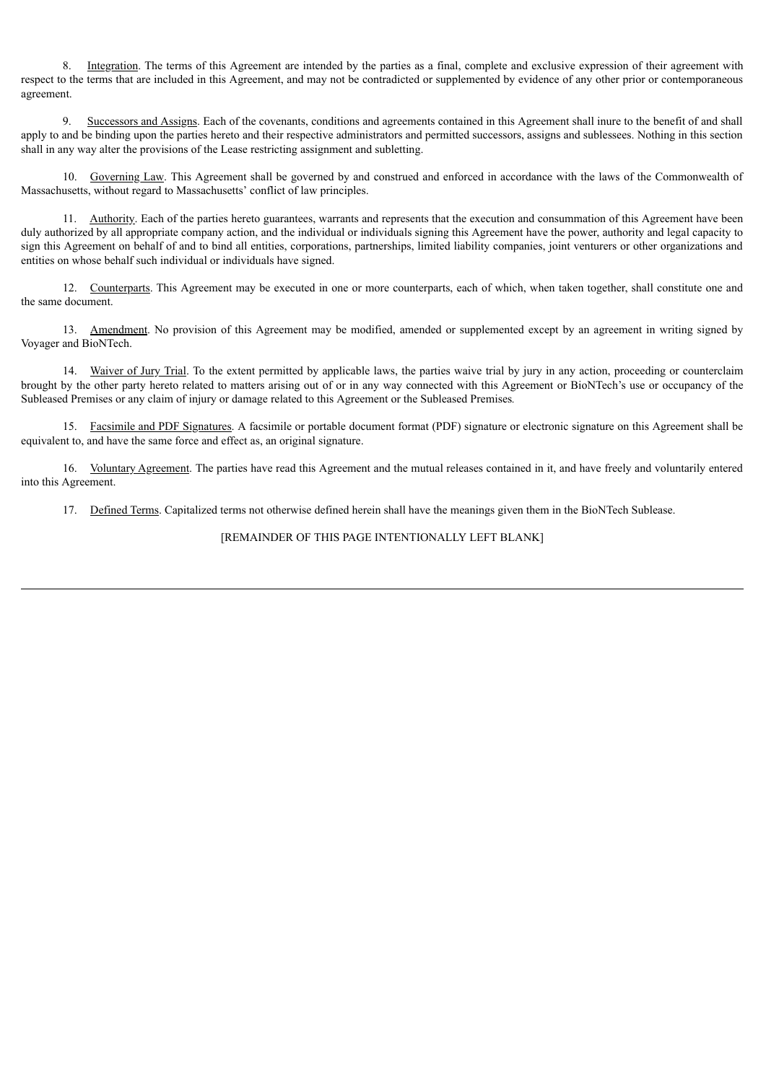8. Integration. The terms of this Agreement are intended by the parties as a final, complete and exclusive expression of their agreement with respect to the terms that are included in this Agreement, and may not be contradicted or supplemented by evidence of any other prior or contemporaneous agreement.

9. Successors and Assigns. Each of the covenants, conditions and agreements contained in this Agreement shall inure to the benefit of and shall apply to and be binding upon the parties hereto and their respective administrators and permitted successors, assigns and sublessees. Nothing in this section shall in any way alter the provisions of the Lease restricting assignment and subletting.

10. Governing Law. This Agreement shall be governed by and construed and enforced in accordance with the laws of the Commonwealth of Massachusetts, without regard to Massachusetts' conflict of law principles.

11. Authority. Each of the parties hereto guarantees, warrants and represents that the execution and consummation of this Agreement have been duly authorized by all appropriate company action, and the individual or individuals signing this Agreement have the power, authority and legal capacity to sign this Agreement on behalf of and to bind all entities, corporations, partnerships, limited liability companies, joint venturers or other organizations and entities on whose behalf such individual or individuals have signed.

12. Counterparts. This Agreement may be executed in one or more counterparts, each of which, when taken together, shall constitute one and the same document.

13. Amendment. No provision of this Agreement may be modified, amended or supplemented except by an agreement in writing signed by Voyager and BioNTech.

14. Waiver of Jury Trial. To the extent permitted by applicable laws, the parties waive trial by jury in any action, proceeding or counterclaim brought by the other party hereto related to matters arising out of or in any way connected with this Agreement or BioNTech's use or occupancy of the Subleased Premises or any claim of injury or damage related to this Agreement or the Subleased Premises*.*

15. Facsimile and PDF Signatures. A facsimile or portable document format (PDF) signature or electronic signature on this Agreement shall be equivalent to, and have the same force and effect as, an original signature.

16. Voluntary Agreement. The parties have read this Agreement and the mutual releases contained in it, and have freely and voluntarily entered into this Agreement.

17. Defined Terms. Capitalized terms not otherwise defined herein shall have the meanings given them in the BioNTech Sublease.

## [REMAINDER OF THIS PAGE INTENTIONALLY LEFT BLANK]